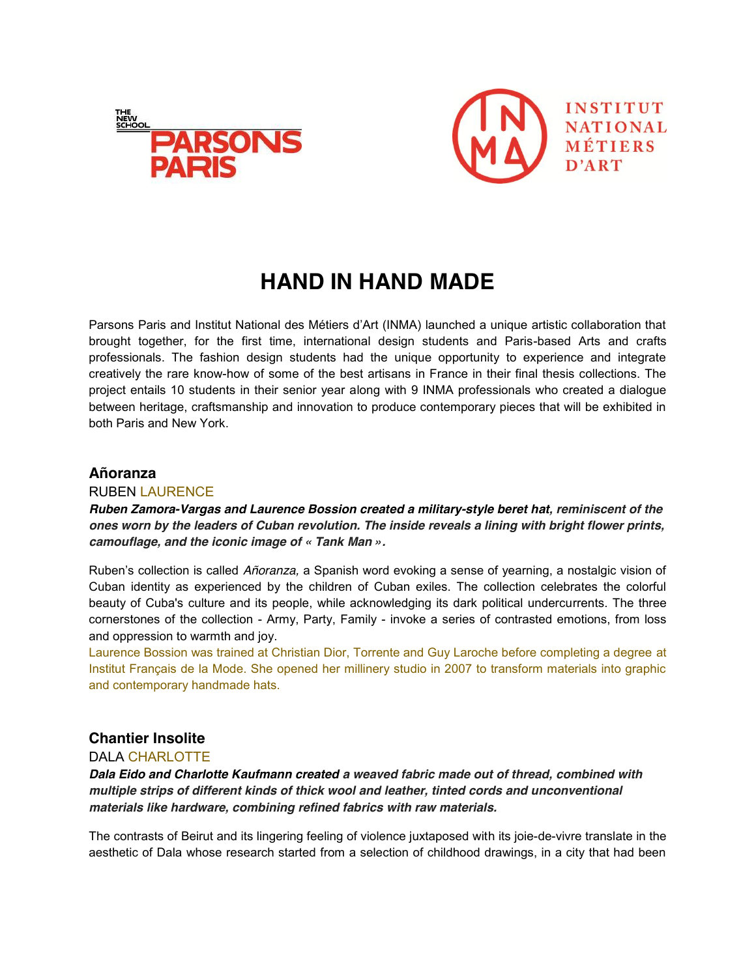



# **HAND IN HAND MADE**

Parsons Paris and Institut National des Métiers d'Art (INMA) launched a unique artistic collaboration that brought together, for the first time, international design students and Paris-based Arts and crafts professionals. The fashion design students had the unique opportunity to experience and integrate creatively the rare know-how of some of the best artisans in France in their final thesis collections. The project entails 10 students in their senior year along with 9 INMA professionals who created a dialogue between heritage, craftsmanship and innovation to produce contemporary pieces that will be exhibited in both Paris and New York.

## **Añoranza**

## RUBEN LAURENCE

## *Ruben Zamora-Vargas and Laurence Bossion created a military-style beret hat, reminiscent of the ones worn by the leaders of Cuban revolution. The inside reveals a lining with bright flower prints, camouflage, and the iconic image of « Tank Man ».*

Ruben's collection is called *Añoranza*, a Spanish word evoking a sense of yearning, a nostalgic vision of Cuban identity as experienced by the children of Cuban exiles. The collection celebrates the colorful beauty of Cuba's culture and its people, while acknowledging its dark political undercurrents. The three cornerstones of the collection - Army, Party, Family - invoke a series of contrasted emotions, from loss and oppression to warmth and joy.

Laurence Bossion was trained at Christian Dior, Torrente and Guy Laroche before completing a degree at Institut Français de la Mode. She opened her millinery studio in 2007 to transform materials into graphic and contemporary handmade hats.

# **Chantier Insolite**

## DALA CHARLOTTE

*Dala Eido and Charlotte Kaufmann created a weaved fabric made out of thread, combined with multiple strips of different kinds of thick wool and leather, tinted cords and unconventional materials like hardware, combining refined fabrics with raw materials.* 

The contrasts of Beirut and its lingering feeling of violence juxtaposed with its joie-de-vivre translate in the aesthetic of Dala whose research started from a selection of childhood drawings, in a city that had been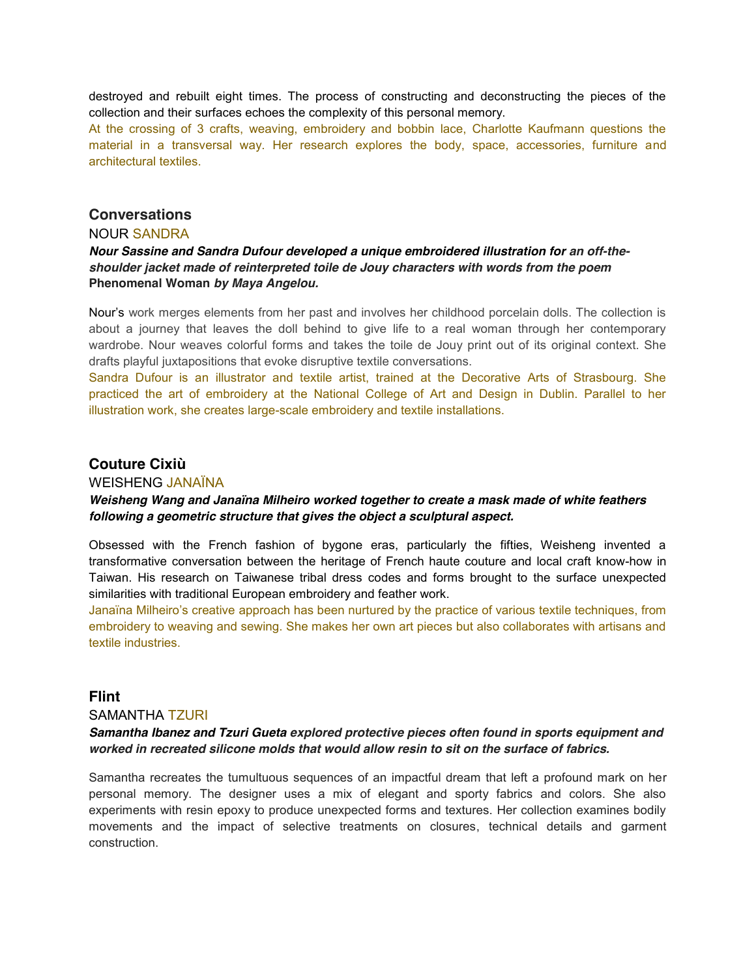destroyed and rebuilt eight times. The process of constructing and deconstructing the pieces of the collection and their surfaces echoes the complexity of this personal memory.

At the crossing of 3 crafts, weaving, embroidery and bobbin lace, Charlotte Kaufmann questions the material in a transversal way. Her research explores the body, space, accessories, furniture and architectural textiles.

## **Conversations**

#### NOUR SANDRA

## *Nour Sassine and Sandra Dufour developed a unique embroidered illustration for an off-theshoulder jacket made of reinterpreted toile de Jouy characters with words from the poem*  **Phenomenal Woman** *by Maya Angelou.*

Nour's work merges elements from her past and involves her childhood porcelain dolls. The collection is about a journey that leaves the doll behind to give life to a real woman through her contemporary wardrobe. Nour weaves colorful forms and takes the toile de Jouy print out of its original context. She drafts playful juxtapositions that evoke disruptive textile conversations.

Sandra Dufour is an illustrator and textile artist, trained at the Decorative Arts of Strasbourg. She practiced the art of embroidery at the National College of Art and Design in Dublin. Parallel to her illustration work, she creates large-scale embroidery and textile installations.

# **Couture Cixiù**

#### WEISHENG JANAÏNA

## *Weisheng Wang and Janaïna Milheiro worked together to create a mask made of white feathers following a geometric structure that gives the object a sculptural aspect.*

Obsessed with the French fashion of bygone eras, particularly the fifties, Weisheng invented a transformative conversation between the heritage of French haute couture and local craft know-how in Taiwan. His research on Taiwanese tribal dress codes and forms brought to the surface unexpected similarities with traditional European embroidery and feather work.

Janaïna Milheiro's creative approach has been nurtured by the practice of various textile techniques, from embroidery to weaving and sewing. She makes her own art pieces but also collaborates with artisans and textile industries.

## **Flint**

#### SAMANTHA TZURI

#### *Samantha Ibanez and Tzuri Gueta explored protective pieces often found in sports equipment and worked in recreated silicone molds that would allow resin to sit on the surface of fabrics.*

Samantha recreates the tumultuous sequences of an impactful dream that left a profound mark on her personal memory. The designer uses a mix of elegant and sporty fabrics and colors. She also experiments with resin epoxy to produce unexpected forms and textures. Her collection examines bodily movements and the impact of selective treatments on closures, technical details and garment construction.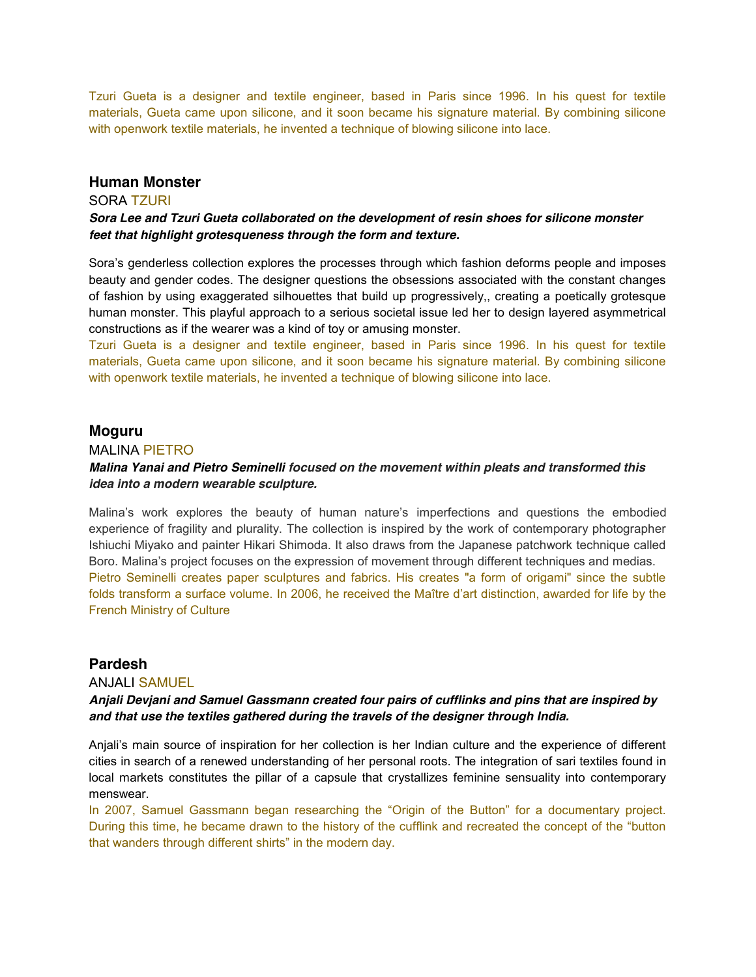Tzuri Gueta is a designer and textile engineer, based in Paris since 1996. In his quest for textile materials, Gueta came upon silicone, and it soon became his signature material. By combining silicone with openwork textile materials, he invented a technique of blowing silicone into lace.

## **Human Monster**

#### SORA TZURI

#### *Sora Lee and Tzuri Gueta collaborated on the development of resin shoes for silicone monster feet that highlight grotesqueness through the form and texture.*

Sora's genderless collection explores the processes through which fashion deforms people and imposes beauty and gender codes. The designer questions the obsessions associated with the constant changes of fashion by using exaggerated silhouettes that build up progressively,, creating a poetically grotesque human monster. This playful approach to a serious societal issue led her to design layered asymmetrical constructions as if the wearer was a kind of toy or amusing monster.

Tzuri Gueta is a designer and textile engineer, based in Paris since 1996. In his quest for textile materials, Gueta came upon silicone, and it soon became his signature material. By combining silicone with openwork textile materials, he invented a technique of blowing silicone into lace.

#### **Moguru**

#### MALINA PIETRO

#### *Malina Yanai and Pietro Seminelli focused on the movement within pleats and transformed this idea into a modern wearable sculpture.*

Malina's work explores the beauty of human nature's imperfections and questions the embodied experience of fragility and plurality. The collection is inspired by the work of contemporary photographer Ishiuchi Miyako and painter Hikari Shimoda. It also draws from the Japanese patchwork technique called Boro. Malina's project focuses on the expression of movement through different techniques and medias. Pietro Seminelli creates paper sculptures and fabrics. His creates "a form of origami" since the subtle folds transform a surface volume. In 2006, he received the Maître d'art distinction, awarded for life by the French Ministry of Culture

## **Pardesh**

#### ANJALI SAMUEL

## *Anjali Devjani and Samuel Gassmann created four pairs of cufflinks and pins that are inspired by and that use the textiles gathered during the travels of the designer through India.*

Anjali's main source of inspiration for her collection is her Indian culture and the experience of different cities in search of a renewed understanding of her personal roots. The integration of sari textiles found in local markets constitutes the pillar of a capsule that crystallizes feminine sensuality into contemporary menswear.

In 2007, Samuel Gassmann began researching the "Origin of the Button" for a documentary project. During this time, he became drawn to the history of the cufflink and recreated the concept of the "button" that wanders through different shirts" in the modern day.